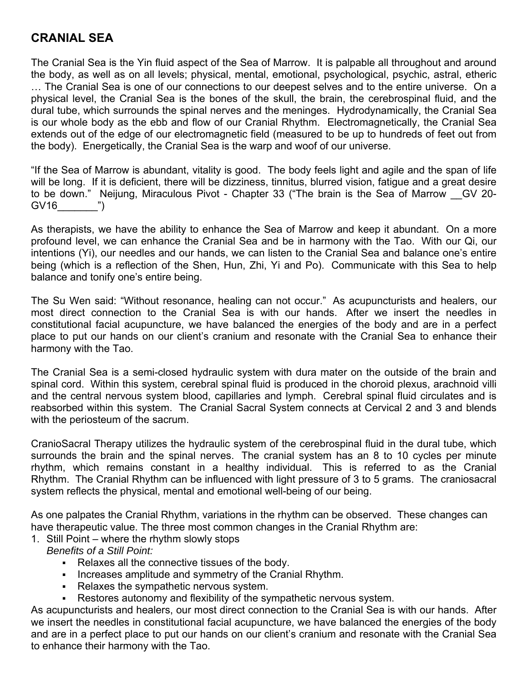### **CRANIAL SEA**

The Cranial Sea is the Yin fluid aspect of the Sea of Marrow. It is palpable all throughout and around the body, as well as on all levels; physical, mental, emotional, psychological, psychic, astral, etheric … The Cranial Sea is one of our connections to our deepest selves and to the entire universe. On a physical level, the Cranial Sea is the bones of the skull, the brain, the cerebrospinal fluid, and the dural tube, which surrounds the spinal nerves and the meninges. Hydrodynamically, the Cranial Sea is our whole body as the ebb and flow of our Cranial Rhythm. Electromagnetically, the Cranial Sea extends out of the edge of our electromagnetic field (measured to be up to hundreds of feet out from the body). Energetically, the Cranial Sea is the warp and woof of our universe.

"If the Sea of Marrow is abundant, vitality is good. The body feels light and agile and the span of life will be long. If it is deficient, there will be dizziness, tinnitus, blurred vision, fatigue and a great desire to be down." Neijung, Miraculous Pivot - Chapter 33 ("The brain is the Sea of Marrow \_\_GV 20- GV16 ")

As therapists, we have the ability to enhance the Sea of Marrow and keep it abundant. On a more profound level, we can enhance the Cranial Sea and be in harmony with the Tao. With our Qi, our intentions (Yi), our needles and our hands, we can listen to the Cranial Sea and balance one's entire being (which is a reflection of the Shen, Hun, Zhi, Yi and Po). Communicate with this Sea to help balance and tonify one's entire being.

The Su Wen said: "Without resonance, healing can not occur." As acupuncturists and healers, our most direct connection to the Cranial Sea is with our hands. After we insert the needles in constitutional facial acupuncture, we have balanced the energies of the body and are in a perfect place to put our hands on our client's cranium and resonate with the Cranial Sea to enhance their harmony with the Tao.

The Cranial Sea is a semi-closed hydraulic system with dura mater on the outside of the brain and spinal cord. Within this system, cerebral spinal fluid is produced in the choroid plexus, arachnoid villi and the central nervous system blood, capillaries and lymph. Cerebral spinal fluid circulates and is reabsorbed within this system. The Cranial Sacral System connects at Cervical 2 and 3 and blends with the periosteum of the sacrum.

CranioSacral Therapy utilizes the hydraulic system of the cerebrospinal fluid in the dural tube, which surrounds the brain and the spinal nerves. The cranial system has an 8 to 10 cycles per minute rhythm, which remains constant in a healthy individual. This is referred to as the Cranial Rhythm. The Cranial Rhythm can be influenced with light pressure of 3 to 5 grams. The craniosacral system reflects the physical, mental and emotional well-being of our being.

As one palpates the Cranial Rhythm, variations in the rhythm can be observed. These changes can have therapeutic value. The three most common changes in the Cranial Rhythm are:

- 1. Still Point where the rhythm slowly stops
	- *Benefits of a Still Point:* 
		- **Relaxes all the connective tissues of the body.**
		- Increases amplitude and symmetry of the Cranial Rhythm.
		- **Relaxes the sympathetic nervous system.**
		- Restores autonomy and flexibility of the sympathetic nervous system.

As acupuncturists and healers, our most direct connection to the Cranial Sea is with our hands. After we insert the needles in constitutional facial acupuncture, we have balanced the energies of the body and are in a perfect place to put our hands on our client's cranium and resonate with the Cranial Sea to enhance their harmony with the Tao.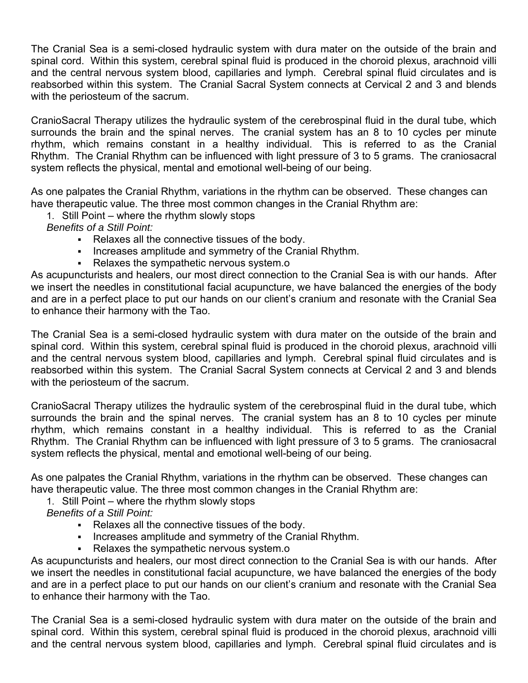The Cranial Sea is a semi-closed hydraulic system with dura mater on the outside of the brain and spinal cord. Within this system, cerebral spinal fluid is produced in the choroid plexus, arachnoid villi and the central nervous system blood, capillaries and lymph. Cerebral spinal fluid circulates and is reabsorbed within this system. The Cranial Sacral System connects at Cervical 2 and 3 and blends with the periosteum of the sacrum.

CranioSacral Therapy utilizes the hydraulic system of the cerebrospinal fluid in the dural tube, which surrounds the brain and the spinal nerves. The cranial system has an 8 to 10 cycles per minute rhythm, which remains constant in a healthy individual. This is referred to as the Cranial Rhythm. The Cranial Rhythm can be influenced with light pressure of 3 to 5 grams. The craniosacral system reflects the physical, mental and emotional well-being of our being.

As one palpates the Cranial Rhythm, variations in the rhythm can be observed. These changes can have therapeutic value. The three most common changes in the Cranial Rhythm are:

1. Still Point – where the rhythm slowly stops

*Benefits of a Still Point:*

- Relaxes all the connective tissues of the body.
- **Increases amplitude and symmetry of the Cranial Rhythm.**
- Relaxes the sympathetic nervous system.o

As acupuncturists and healers, our most direct connection to the Cranial Sea is with our hands. After we insert the needles in constitutional facial acupuncture, we have balanced the energies of the body and are in a perfect place to put our hands on our client's cranium and resonate with the Cranial Sea to enhance their harmony with the Tao.

The Cranial Sea is a semi-closed hydraulic system with dura mater on the outside of the brain and spinal cord. Within this system, cerebral spinal fluid is produced in the choroid plexus, arachnoid villi and the central nervous system blood, capillaries and lymph. Cerebral spinal fluid circulates and is reabsorbed within this system. The Cranial Sacral System connects at Cervical 2 and 3 and blends with the periosteum of the sacrum.

CranioSacral Therapy utilizes the hydraulic system of the cerebrospinal fluid in the dural tube, which surrounds the brain and the spinal nerves. The cranial system has an 8 to 10 cycles per minute rhythm, which remains constant in a healthy individual. This is referred to as the Cranial Rhythm. The Cranial Rhythm can be influenced with light pressure of 3 to 5 grams. The craniosacral system reflects the physical, mental and emotional well-being of our being.

As one palpates the Cranial Rhythm, variations in the rhythm can be observed. These changes can have therapeutic value. The three most common changes in the Cranial Rhythm are:

1. Still Point – where the rhythm slowly stops

*Benefits of a Still Point:*

- Relaxes all the connective tissues of the body.
- Increases amplitude and symmetry of the Cranial Rhythm.
- Relaxes the sympathetic nervous system.o

As acupuncturists and healers, our most direct connection to the Cranial Sea is with our hands. After we insert the needles in constitutional facial acupuncture, we have balanced the energies of the body and are in a perfect place to put our hands on our client's cranium and resonate with the Cranial Sea to enhance their harmony with the Tao.

The Cranial Sea is a semi-closed hydraulic system with dura mater on the outside of the brain and spinal cord. Within this system, cerebral spinal fluid is produced in the choroid plexus, arachnoid villi and the central nervous system blood, capillaries and lymph. Cerebral spinal fluid circulates and is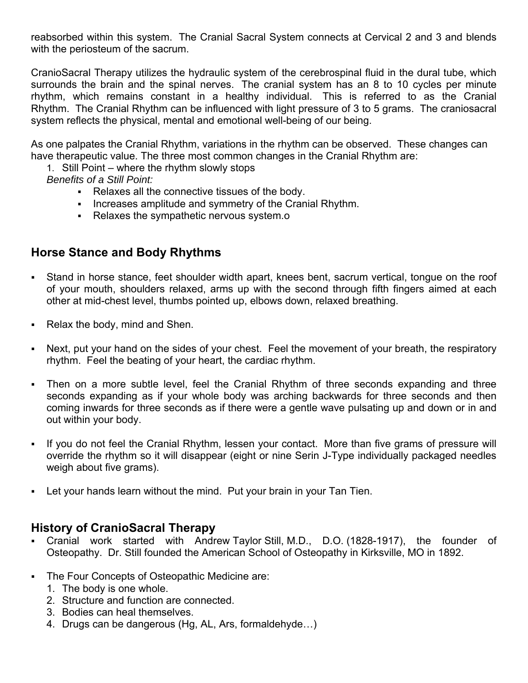reabsorbed within this system. The Cranial Sacral System connects at Cervical 2 and 3 and blends with the periosteum of the sacrum.

CranioSacral Therapy utilizes the hydraulic system of the cerebrospinal fluid in the dural tube, which surrounds the brain and the spinal nerves. The cranial system has an 8 to 10 cycles per minute rhythm, which remains constant in a healthy individual. This is referred to as the Cranial Rhythm. The Cranial Rhythm can be influenced with light pressure of 3 to 5 grams. The craniosacral system reflects the physical, mental and emotional well-being of our being.

As one palpates the Cranial Rhythm, variations in the rhythm can be observed. These changes can have therapeutic value. The three most common changes in the Cranial Rhythm are:

1. Still Point – where the rhythm slowly stops

*Benefits of a Still Point:*

- Relaxes all the connective tissues of the body.
- Increases amplitude and symmetry of the Cranial Rhythm.
- Relaxes the sympathetic nervous system.o

## **Horse Stance and Body Rhythms**

- Stand in horse stance, feet shoulder width apart, knees bent, sacrum vertical, tongue on the roof of your mouth, shoulders relaxed, arms up with the second through fifth fingers aimed at each other at mid-chest level, thumbs pointed up, elbows down, relaxed breathing.
- Relax the body, mind and Shen.
- Next, put your hand on the sides of your chest. Feel the movement of your breath, the respiratory rhythm. Feel the beating of your heart, the cardiac rhythm.
- Then on a more subtle level, feel the Cranial Rhythm of three seconds expanding and three seconds expanding as if your whole body was arching backwards for three seconds and then coming inwards for three seconds as if there were a gentle wave pulsating up and down or in and out within your body.
- If you do not feel the Cranial Rhythm, lessen your contact. More than five grams of pressure will override the rhythm so it will disappear (eight or nine Serin J-Type individually packaged needles weigh about five grams).
- Let your hands learn without the mind. Put your brain in your Tan Tien.

### **History of CranioSacral Therapy**

- Cranial work started with Andrew Taylor Still, M.D., D.O. (1828-1917), the founder of Osteopathy. Dr. Still founded the American School of Osteopathy in Kirksville, MO in 1892.
- The Four Concepts of Osteopathic Medicine are:
	- 1. The body is one whole.
	- 2. Structure and function are connected.
	- 3. Bodies can heal themselves.
	- 4. Drugs can be dangerous (Hg, AL, Ars, formaldehyde…)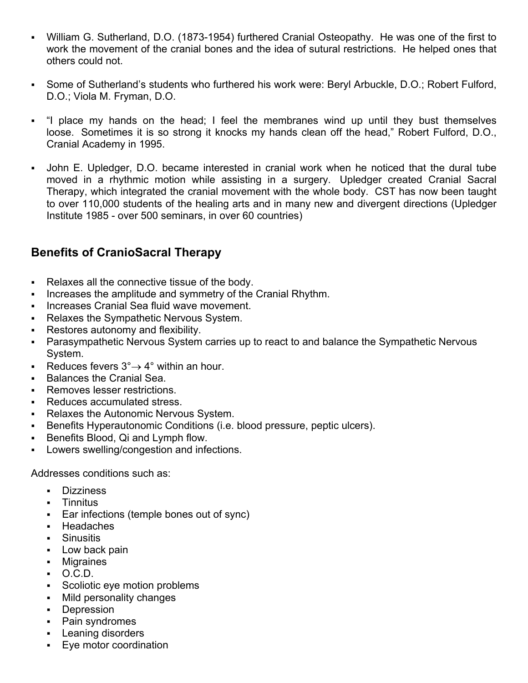- William G. Sutherland, D.O. (1873-1954) furthered Cranial Osteopathy. He was one of the first to work the movement of the cranial bones and the idea of sutural restrictions. He helped ones that others could not.
- Some of Sutherland's students who furthered his work were: Beryl Arbuckle, D.O.; Robert Fulford, D.O.; Viola M. Fryman, D.O.
- "I place my hands on the head; I feel the membranes wind up until they bust themselves loose. Sometimes it is so strong it knocks my hands clean off the head," Robert Fulford, D.O., Cranial Academy in 1995.
- John E. Upledger, D.O. became interested in cranial work when he noticed that the dural tube moved in a rhythmic motion while assisting in a surgery. Upledger created Cranial Sacral Therapy, which integrated the cranial movement with the whole body. CST has now been taught to over 110,000 students of the healing arts and in many new and divergent directions (Upledger Institute 1985 - over 500 seminars, in over 60 countries)

### **Benefits of CranioSacral Therapy**

- Relaxes all the connective tissue of the body.
- **Increases the amplitude and symmetry of the Cranial Rhythm.**
- **Increases Cranial Sea fluid wave movement.**
- Relaxes the Sympathetic Nervous System.
- **Restores autonomy and flexibility.**
- Parasympathetic Nervous System carries up to react to and balance the Sympathetic Nervous System.
- Reduces fevers  $3^\circ \rightarrow 4^\circ$  within an hour.
- **Balances the Cranial Sea.**
- Removes lesser restrictions.
- Reduces accumulated stress.
- **Relaxes the Autonomic Nervous System.**
- Benefits Hyperautonomic Conditions (i.e. blood pressure, peptic ulcers).
- **Benefits Blood, Qi and Lymph flow.**
- Lowers swelling/congestion and infections.

Addresses conditions such as:

- **Dizziness**
- **-** Tinnitus
- Ear infections (temple bones out of sync)
- **Headaches**
- **Sinusitis**
- **Low back pain**
- Migraines
- $\bullet$  O.C.D.
- Scoliotic eye motion problems
- **Mild personality changes**
- **Depression**
- Pain syndromes
- **Leaning disorders**
- **Eye motor coordination**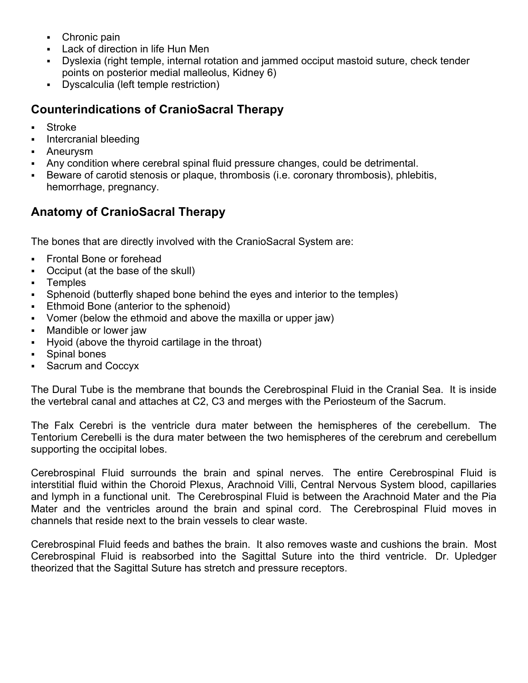- Chronic pain
- Lack of direction in life Hun Men
- Dyslexia (right temple, internal rotation and jammed occiput mastoid suture, check tender points on posterior medial malleolus, Kidney 6)
- Dyscalculia (left temple restriction)

## **Counterindications of CranioSacral Therapy**

- Stroke
- Intercranial bleeding
- Aneurysm
- Any condition where cerebral spinal fluid pressure changes, could be detrimental.
- Beware of carotid stenosis or plaque, thrombosis (i.e. coronary thrombosis), phlebitis, hemorrhage, pregnancy.

# **Anatomy of CranioSacral Therapy**

The bones that are directly involved with the CranioSacral System are:

- Frontal Bone or forehead
- Occiput (at the base of the skull)
- **-** Temples
- Sphenoid (butterfly shaped bone behind the eyes and interior to the temples)
- Ethmoid Bone (anterior to the sphenoid)
- Vomer (below the ethmoid and above the maxilla or upper jaw)
- Mandible or lower jaw
- Hyoid (above the thyroid cartilage in the throat)
- Spinal bones
- **Sacrum and Coccyx**

The Dural Tube is the membrane that bounds the Cerebrospinal Fluid in the Cranial Sea. It is inside the vertebral canal and attaches at C2, C3 and merges with the Periosteum of the Sacrum.

The Falx Cerebri is the ventricle dura mater between the hemispheres of the cerebellum. The Tentorium Cerebelli is the dura mater between the two hemispheres of the cerebrum and cerebellum supporting the occipital lobes.

Cerebrospinal Fluid surrounds the brain and spinal nerves. The entire Cerebrospinal Fluid is interstitial fluid within the Choroid Plexus, Arachnoid Villi, Central Nervous System blood, capillaries and lymph in a functional unit. The Cerebrospinal Fluid is between the Arachnoid Mater and the Pia Mater and the ventricles around the brain and spinal cord. The Cerebrospinal Fluid moves in channels that reside next to the brain vessels to clear waste.

Cerebrospinal Fluid feeds and bathes the brain. It also removes waste and cushions the brain. Most Cerebrospinal Fluid is reabsorbed into the Sagittal Suture into the third ventricle. Dr. Upledger theorized that the Sagittal Suture has stretch and pressure receptors.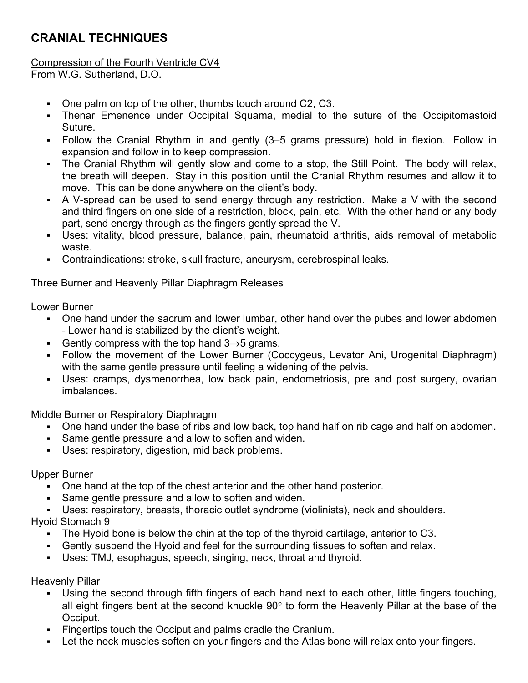## **CRANIAL TECHNIQUES**

#### Compression of the Fourth Ventricle CV4

From W.G. Sutherland, D.O.

- One palm on top of the other, thumbs touch around C2, C3.
- Thenar Emenence under Occipital Squama, medial to the suture of the Occipitomastoid Suture.
- Follow the Cranial Rhythm in and gently (3–5 grams pressure) hold in flexion. Follow in expansion and follow in to keep compression.
- The Cranial Rhythm will gently slow and come to a stop, the Still Point. The body will relax, the breath will deepen. Stay in this position until the Cranial Rhythm resumes and allow it to move. This can be done anywhere on the client's body.
- A V-spread can be used to send energy through any restriction. Make a V with the second and third fingers on one side of a restriction, block, pain, etc. With the other hand or any body part, send energy through as the fingers gently spread the V.
- Uses: vitality, blood pressure, balance, pain, rheumatoid arthritis, aids removal of metabolic waste.
- Contraindications: stroke, skull fracture, aneurysm, cerebrospinal leaks.

#### Three Burner and Heavenly Pillar Diaphragm Releases

Lower Burner

- One hand under the sacrum and lower lumbar, other hand over the pubes and lower abdomen - Lower hand is stabilized by the client's weight.
- Gently compress with the top hand  $3\rightarrow 5$  grams.
- Follow the movement of the Lower Burner (Coccygeus, Levator Ani, Urogenital Diaphragm) with the same gentle pressure until feeling a widening of the pelvis.
- Uses: cramps, dysmenorrhea, low back pain, endometriosis, pre and post surgery, ovarian imbalances.

Middle Burner or Respiratory Diaphragm

- One hand under the base of ribs and low back, top hand half on rib cage and half on abdomen.
- Same gentle pressure and allow to soften and widen.
- Uses: respiratory, digestion, mid back problems.

Upper Burner

- One hand at the top of the chest anterior and the other hand posterior.
- Same gentle pressure and allow to soften and widen.

Uses: respiratory, breasts, thoracic outlet syndrome (violinists), neck and shoulders.

Hyoid Stomach 9

- The Hyoid bone is below the chin at the top of the thyroid cartilage, anterior to C3.
- Gently suspend the Hyoid and feel for the surrounding tissues to soften and relax.
- Uses: TMJ, esophagus, speech, singing, neck, throat and thyroid.

Heavenly Pillar

- Using the second through fifth fingers of each hand next to each other, little fingers touching, all eight fingers bent at the second knuckle  $90^{\circ}$  to form the Heavenly Pillar at the base of the Occiput.
- Fingertips touch the Occiput and palms cradle the Cranium.
- Let the neck muscles soften on your fingers and the Atlas bone will relax onto your fingers.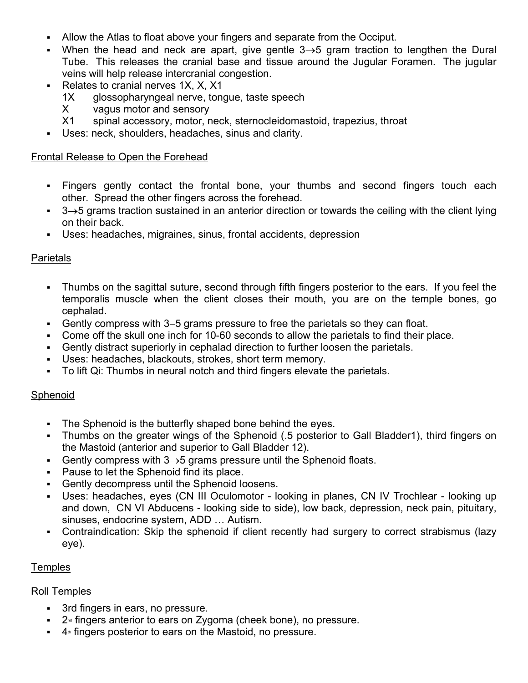- Allow the Atlas to float above your fingers and separate from the Occiput.
- When the head and neck are apart, give gentle  $3\rightarrow 5$  gram traction to lengthen the Dural Tube. This releases the cranial base and tissue around the Jugular Foramen. The jugular veins will help release intercranial congestion.
- Relates to cranial nerves  $1X$ ,  $X$ ,  $X1$ 
	- 1X glossopharyngeal nerve, tongue, taste speech
	- X vagus motor and sensory
	- X1 spinal accessory, motor, neck, sternocleidomastoid, trapezius, throat
- Uses: neck, shoulders, headaches, sinus and clarity.

#### Frontal Release to Open the Forehead

- Fingers gently contact the frontal bone, your thumbs and second fingers touch each other. Spread the other fingers across the forehead.
- $\overline{3}$  3 $\rightarrow$ 5 grams traction sustained in an anterior direction or towards the ceiling with the client lying on their back.
- Uses: headaches, migraines, sinus, frontal accidents, depression

### Parietals

- Thumbs on the sagittal suture, second through fifth fingers posterior to the ears. If you feel the temporalis muscle when the client closes their mouth, you are on the temple bones, go cephalad.
- Gently compress with  $3-5$  grams pressure to free the parietals so they can float.
- Come off the skull one inch for 10-60 seconds to allow the parietals to find their place.
- Gently distract superiorly in cephalad direction to further loosen the parietals.
- Uses: headaches, blackouts, strokes, short term memory.
- To lift Qi: Thumbs in neural notch and third fingers elevate the parietals.

### **Sphenoid**

- The Sphenoid is the butterfly shaped bone behind the eyes.
- Thumbs on the greater wings of the Sphenoid (.5 posterior to Gall Bladder1), third fingers on the Mastoid (anterior and superior to Gall Bladder 12).
- Gently compress with  $3\rightarrow 5$  grams pressure until the Sphenoid floats.
- **Pause to let the Sphenoid find its place.**
- Gently decompress until the Sphenoid loosens.
- Uses: headaches, eyes (CN III Oculomotor looking in planes, CN IV Trochlear looking up and down, CN VI Abducens - looking side to side), low back, depression, neck pain, pituitary, sinuses, endocrine system, ADD … Autism.
- Contraindication: Skip the sphenoid if client recently had surgery to correct strabismus (lazy eye).

#### **Temples**

#### Roll Temples

- 3rd fingers in ears, no pressure.
- $2<sup>nd</sup>$  fingers anterior to ears on Zygoma (cheek bone), no pressure.
- $4<sup>th</sup>$  fingers posterior to ears on the Mastoid, no pressure.